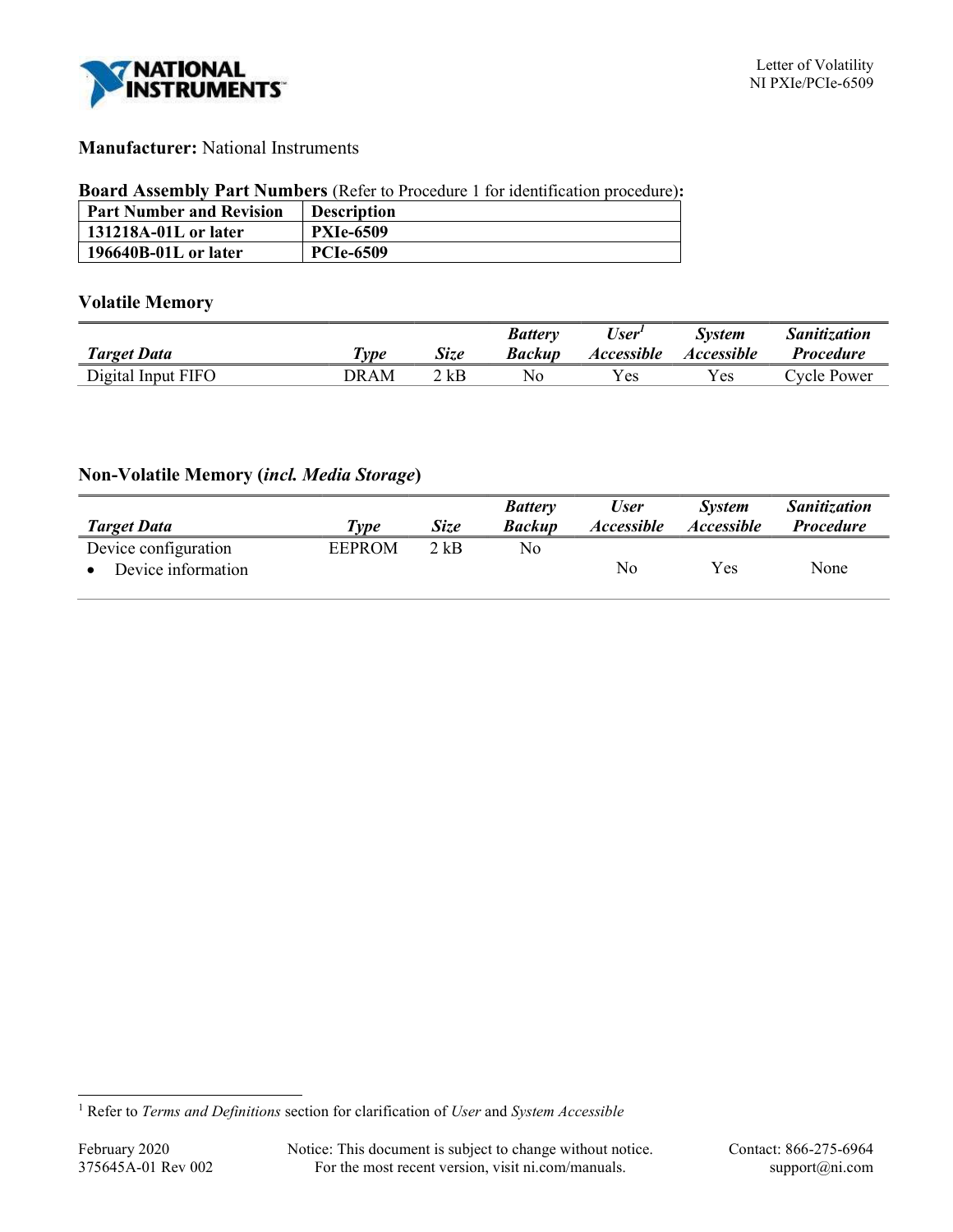

## Manufacturer: National Instruments

### Board Assembly Part Numbers (Refer to Procedure 1 for identification procedure):

| <b>Part Number and Revision</b> | <b>Description</b> |
|---------------------------------|--------------------|
| 131218A-01L or later            | <b>PXIe-6509</b>   |
| 196640B-01L or later            | <b>PCIe-6509</b>   |

## Volatile Memory

|                    |                     |             | <b>Battery</b> | User <sup>1</sup>        | <b>System</b>     | <i><b>Sanitization</b></i> |
|--------------------|---------------------|-------------|----------------|--------------------------|-------------------|----------------------------|
| <b>Target Data</b> | $\tau_{\nu \rho e}$ | <b>Size</b> | Backup         | <i><b>Accessible</b></i> | <i>Accessible</i> | <i>Procedure</i>           |
| Digital Input FIFO | DRAM                | 2 kB        | No             | Y es                     | Y es l            | Cycle Power                |

# Non-Volatile Memory (incl. Media Storage)

|                      |               |             | <b>Battery</b> | <b>User</b>       | <b>System</b>            | <b>Sanitization</b> |
|----------------------|---------------|-------------|----------------|-------------------|--------------------------|---------------------|
| <b>Target Data</b>   | Type          | <b>Size</b> | <b>Backup</b>  | <i>Accessible</i> | <i><b>Accessible</b></i> | <i>Procedure</i>    |
| Device configuration | <b>EEPROM</b> | $2$ kB      | No             |                   |                          |                     |
| Device information   |               |             |                | No.               | Yes                      | None                |

<sup>&</sup>lt;sup>1</sup> Refer to Terms and Definitions section for clarification of User and System Accessible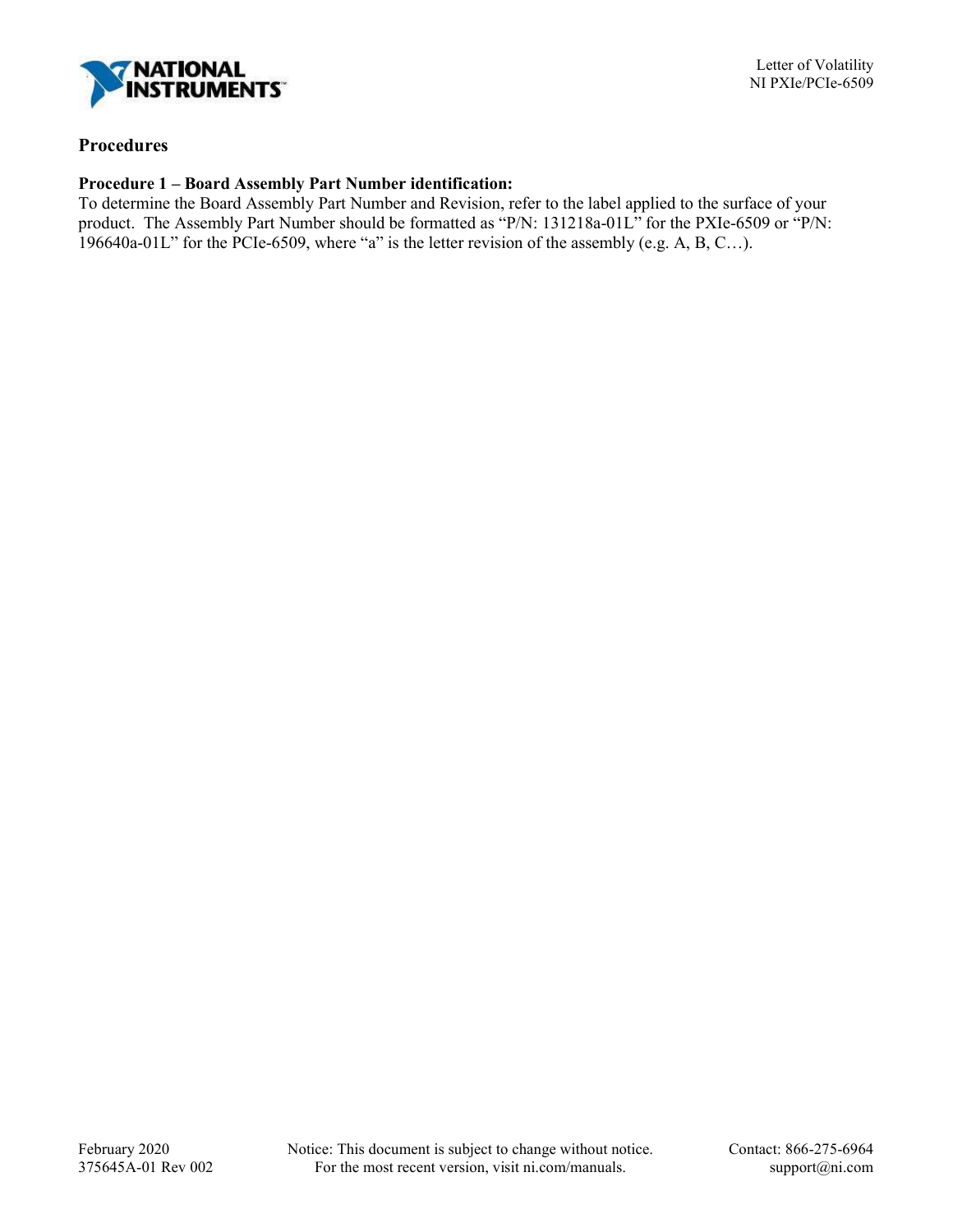

## Procedures

### Procedure 1 – Board Assembly Part Number identification:

To determine the Board Assembly Part Number and Revision, refer to the label applied to the surface of your product. The Assembly Part Number should be formatted as "P/N: 131218a-01L" for the PXIe-6509 or "P/N: 196640a-01L" for the PCIe-6509, where "a" is the letter revision of the assembly (e.g. A, B, C...).